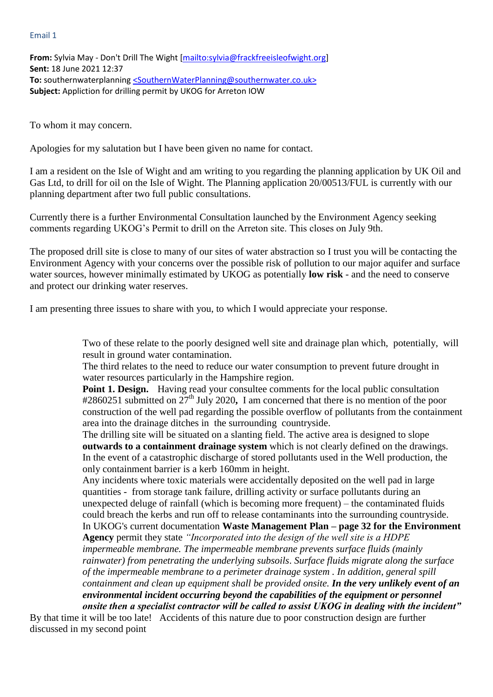#### Email 1

**From:** Sylvia May - Don't Drill The Wight [\[mailto:sylvia@frackfreeisleofwight.org\]](mailto:sylvia@frackfreeisleofwight.org) **Sent:** 18 June 2021 12:37 **To:** southernwaterplannin[g <SouthernWaterPlanning@southernwater.co.uk>](mailto:SouthernWaterPlanning@southernwater.co.uk) **Subject:** Appliction for drilling permit by UKOG for Arreton IOW

To whom it may concern.

Apologies for my salutation but I have been given no name for contact.

I am a resident on the Isle of Wight and am writing to you regarding the planning application by UK Oil and Gas Ltd, to drill for oil on the Isle of Wight. The Planning application 20/00513/FUL is currently with our planning department after two full public consultations.

Currently there is a further Environmental Consultation launched by the Environment Agency seeking comments regarding UKOG's Permit to drill on the Arreton site. This closes on July 9th.

The proposed drill site is close to many of our sites of water abstraction so I trust you will be contacting the Environment Agency with your concerns over the possible risk of pollution to our major aquifer and surface water sources, however minimally estimated by UKOG as potentially **low risk** - and the need to conserve and protect our drinking water reserves.

I am presenting three issues to share with you, to which I would appreciate your response.

Two of these relate to the poorly designed well site and drainage plan which, potentially, will result in ground water contamination.

The third relates to the need to reduce our water consumption to prevent future drought in water resources particularly in the Hampshire region.

**Point 1. Design.** Having read your consultee comments for the local public consultation #2860251 submitted on 27th July 2020**,** I am concerned that there is no mention of the poor construction of the well pad regarding the possible overflow of pollutants from the containment area into the drainage ditches in the surrounding countryside.

The drilling site will be situated on a slanting field. The active area is designed to slope **outwards to a containment drainage system** which is not clearly defined on the drawings. In the event of a catastrophic discharge of stored pollutants used in the Well production, the only containment barrier is a kerb 160mm in height.

Any incidents where toxic materials were accidentally deposited on the well pad in large quantities - from storage tank failure, drilling activity or surface pollutants during an unexpected deluge of rainfall (which is becoming more frequent) – the contaminated fluids could breach the kerbs and run off to release contaminants into the surrounding countryside. In UKOG's current documentation **Waste Management Plan – page 32 for the Environment Agency** permit they state *"Incorporated into the design of the well site is a HDPE impermeable membrane. The impermeable membrane prevents surface fluids (mainly rainwater) from penetrating the underlying subsoils*. *Surface fluids migrate along the surface of the impermeable membrane to a perimeter drainage system . In addition, general spill containment and clean up equipment shall be provided onsite. In the very unlikely event of an environmental incident occurring beyond the capabilities of the equipment or personnel onsite then a specialist contractor will be called to assist UKOG in dealing with the incident"*

By that time it will be too late! Accidents of this nature due to poor construction design are further discussed in my second point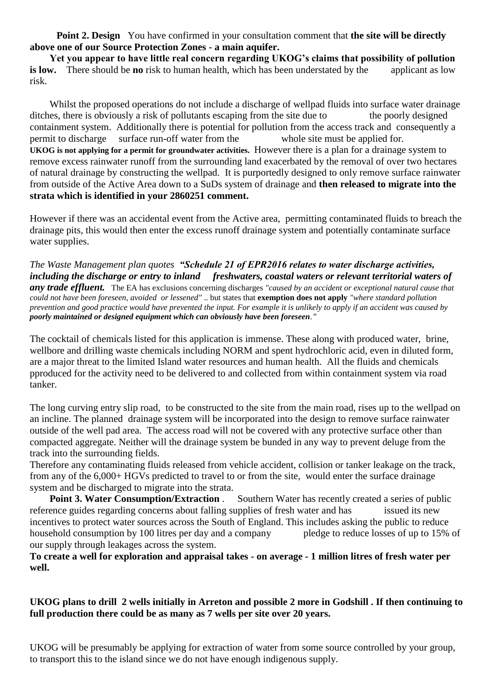**Point 2. Design** You have confirmed in your consultation comment that **the site will be directly above one of our Source Protection Zones - a main aquifer.**

 **Yet you appear to have little real concern regarding UKOG's claims that possibility of pollution is low.** There should be **no** risk to human health, which has been understated by the applicant as low risk.

Whilst the proposed operations do not include a discharge of wellpad fluids into surface water drainage ditches, there is obviously a risk of pollutants escaping from the site due to the poorly designed containment system. Additionally there is potential for pollution from the access track and consequently a permit to discharge surface run-off water from the whole site must be applied for. **UKOG is not applying for a permit for groundwater activities.** However there is a plan for a drainage system to remove excess rainwater runoff from the surrounding land exacerbated by the removal of over two hectares of natural drainage by constructing the wellpad. It is purportedly designed to only remove surface rainwater from outside of the Active Area down to a SuDs system of drainage and **then released to migrate into the strata which is identified in your 2860251 comment.** 

However if there was an accidental event from the Active area, permitting contaminated fluids to breach the drainage pits, this would then enter the excess runoff drainage system and potentially contaminate surface water supplies.

*The Waste Management plan quotes "Schedule 21 of EPR2016 relates to water discharge activities, including the discharge or entry to inland freshwaters, coastal waters or relevant territorial waters of any trade effluent.* The EA has exclusions concerning discharges *"caused by an accident or exceptional natural cause that could not have been foreseen, avoided or lessened"* .. but states that **exemption does not apply** *"where standard pollution prevention and good practice would have prevented the input. For example it is unlikely to apply if an accident was caused by poorly maintained or designed equipment which can obviously have been foreseen."* 

The cocktail of chemicals listed for this application is immense. These along with produced water, brine, wellbore and drilling waste chemicals including NORM and spent hydrochloric acid, even in diluted form, are a major threat to the limited Island water resources and human health. All the fluids and chemicals pproduced for the activity need to be delivered to and collected from within containment system via road tanker.

The long curving entry slip road, to be constructed to the site from the main road, rises up to the wellpad on an incline. The planned drainage system will be incorporated into the design to remove surface rainwater outside of the well pad area. The access road will not be covered with any protective surface other than compacted aggregate. Neither will the drainage system be bunded in any way to prevent deluge from the track into the surrounding fields.

Therefore any contaminating fluids released from vehicle accident, collision or tanker leakage on the track, from any of the 6,000+ HGVs predicted to travel to or from the site, would enter the surface drainage system and be discharged to migrate into the strata.

**Point 3. Water Consumption/Extraction .** Southern Water has recently created a series of public reference guides regarding concerns about falling supplies of fresh water and has issued its new incentives to protect water sources across the South of England. This includes asking the public to reduce household consumption by 100 litres per day and a company pledge to reduce losses of up to 15% of our supply through leakages across the system.

**To create a well for exploration and appraisal takes - on average - 1 million litres of fresh water per well.** 

### **UKOG plans to drill 2 wells initially in Arreton and possible 2 more in Godshill . If then continuing to full production there could be as many as 7 wells per site over 20 years.**

UKOG will be presumably be applying for extraction of water from some source controlled by your group, to transport this to the island since we do not have enough indigenous supply.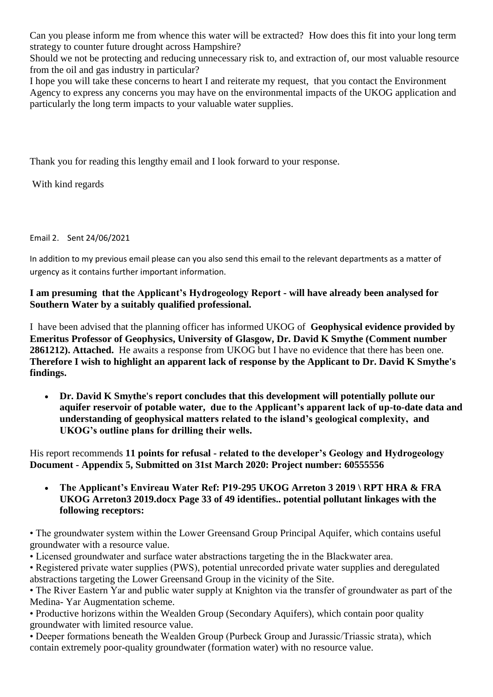Can you please inform me from whence this water will be extracted? How does this fit into your long term strategy to counter future drought across Hampshire?

Should we not be protecting and reducing unnecessary risk to, and extraction of, our most valuable resource from the oil and gas industry in particular?

I hope you will take these concerns to heart I and reiterate my request, that you contact the Environment Agency to express any concerns you may have on the environmental impacts of the UKOG application and particularly the long term impacts to your valuable water supplies.

Thank you for reading this lengthy email and I look forward to your response.

With kind regards

Email 2. Sent 24/06/2021

In addition to my previous email please can you also send this email to the relevant departments as a matter of urgency as it contains further important information.

**I am presuming that the Applicant's Hydrogeology Report - will have already been analysed for Southern Water by a suitably qualified professional.**

I have been advised that the planning officer has informed UKOG of **Geophysical evidence provided by Emeritus Professor of Geophysics, University of Glasgow, Dr. David K Smythe (Comment number 2861212). Attached.** He awaits a response from UKOG but I have no evidence that there has been one. **Therefore I wish to highlight an apparent lack of response by the Applicant to Dr. David K Smythe's findings.**

 **Dr. David K Smythe's report concludes that this development will potentially pollute our aquifer reservoir of potable water, due to the Applicant's apparent lack of up-to-date data and understanding of geophysical matters related to the island's geological complexity, and UKOG's outline plans for drilling their wells.** 

His report recommends **11 points for refusal - related to the developer's Geology and Hydrogeology Document - Appendix 5, Submitted on 31st March 2020: Project number: 60555556**

 **The Applicant's Envireau Water Ref: P19-295 UKOG Arreton 3 2019 \ RPT HRA & FRA UKOG Arreton3 2019.docx Page 33 of 49 identifies.. potential pollutant linkages with the following receptors:** 

• The groundwater system within the Lower Greensand Group Principal Aquifer, which contains useful groundwater with a resource value.

• Licensed groundwater and surface water abstractions targeting the in the Blackwater area.

• Registered private water supplies (PWS), potential unrecorded private water supplies and deregulated abstractions targeting the Lower Greensand Group in the vicinity of the Site.

• The River Eastern Yar and public water supply at Knighton via the transfer of groundwater as part of the Medina- Yar Augmentation scheme.

• Productive horizons within the Wealden Group (Secondary Aquifers), which contain poor quality groundwater with limited resource value.

• Deeper formations beneath the Wealden Group (Purbeck Group and Jurassic/Triassic strata), which contain extremely poor-quality groundwater (formation water) with no resource value.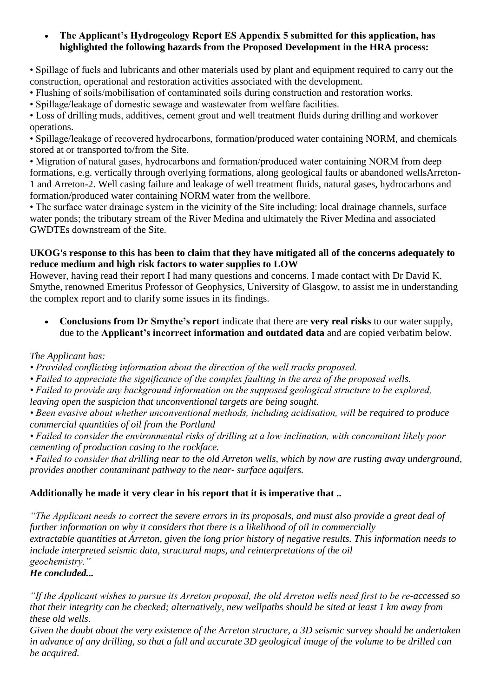#### **The Applicant's Hydrogeology Report ES Appendix 5 submitted for this application, has highlighted the following hazards from the Proposed Development in the HRA process:**

• Spillage of fuels and lubricants and other materials used by plant and equipment required to carry out the construction, operational and restoration activities associated with the development.

• Flushing of soils/mobilisation of contaminated soils during construction and restoration works.

• Spillage/leakage of domestic sewage and wastewater from welfare facilities.

• Loss of drilling muds, additives, cement grout and well treatment fluids during drilling and workover operations.

• Spillage/leakage of recovered hydrocarbons, formation/produced water containing NORM, and chemicals stored at or transported to/from the Site.

• Migration of natural gases, hydrocarbons and formation/produced water containing NORM from deep formations, e.g. vertically through overlying formations, along geological faults or abandoned wellsArreton-1 and Arreton-2. Well casing failure and leakage of well treatment fluids, natural gases, hydrocarbons and formation/produced water containing NORM water from the wellbore.

• The surface water drainage system in the vicinity of the Site including: local drainage channels, surface water ponds; the tributary stream of the River Medina and ultimately the River Medina and associated GWDTEs downstream of the Site.

#### **UKOG's response to this has been to claim that they have mitigated all of the concerns adequately to reduce medium and high risk factors to water supplies to LOW**

However, having read their report I had many questions and concerns. I made contact with Dr David K. Smythe, renowned Emeritus Professor of Geophysics, University of Glasgow, to assist me in understanding the complex report and to clarify some issues in its findings.

 **Conclusions from Dr Smythe's report** indicate that there are **very real risks** to our water supply, due to the **Applicant's incorrect information and outdated data** and are copied verbatim below.

# *The Applicant has:*

*• Provided conflicting information about the direction of the well tracks proposed.*

- *Failed to appreciate the significance of the complex faulting in the area of the proposed wells.*
- *Failed to provide any background information on the supposed geological structure to be explored, leaving open the suspicion that unconventional targets are being sought.*
- *Been evasive about whether unconventional methods, including acidisation, will be required to produce commercial quantities of oil from the Portland*
- *Failed to consider the environmental risks of drilling at a low inclination, with concomitant likely poor cementing of production casing to the rockface.*

*• Failed to consider that drilling near to the old Arreton wells, which by now are rusting away underground, provides another contaminant pathway to the near- surface aquifers.*

# **Additionally he made it very clear in his report that it is imperative that ..**

*"The Applicant needs to correct the severe errors in its proposals, and must also provide a great deal of further information on why it considers that there is a likelihood of oil in commercially extractable quantities at Arreton, given the long prior history of negative results. This information needs to include interpreted seismic data, structural maps, and reinterpretations of the oil geochemistry."* 

# *He concluded...*

*"If the Applicant wishes to pursue its Arreton proposal, the old Arreton wells need first to be re-accessed so that their integrity can be checked; alternatively, new wellpaths should be sited at least 1 km away from these old wells.*

*Given the doubt about the very existence of the Arreton structure, a 3D seismic survey should be undertaken in advance of any drilling, so that a full and accurate 3D geological image of the volume to be drilled can be acquired.*